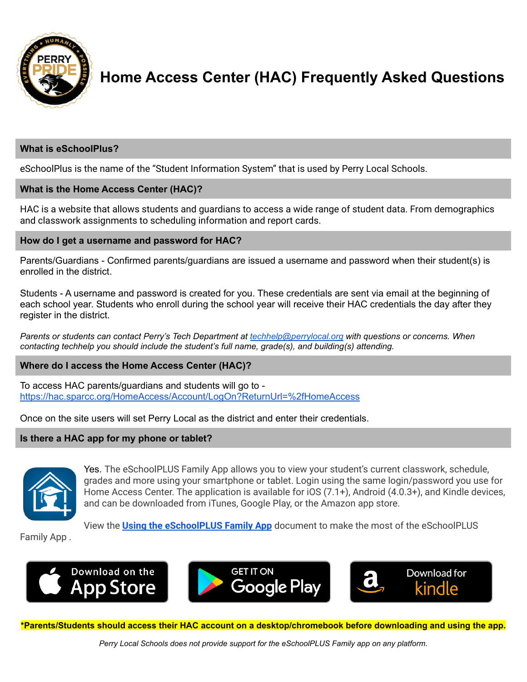

# **Home Access Center (HAC) Frequently Asked Questions**

# **What is eSchoolPlus?**

eSchoolPlus is the name of the "Student Information System" that is used by Perry Local Schools.

# **What is the Home Access Center (HAC)?**

HAC is a website that allows students and guardians to access a wide range of student data. From demographics and classwork assignments to scheduling information and report cards.

## **How do I get a username and password for HAC?**

Parents/Guardians - Confirmed parents/guardians are issued a username and password when their student(s) is enrolled in the district.

Students - A username and password is created for you. These credentials are sent via email at the beginning of each school year. Students who enroll during the school year will receive their HAC credentials the day after they register in the district.

*Parents or students can contact Perry's Tech Department at [techhelp@perrylocal.org](mailto:techhelp@perrylocal.org) with questions or concerns. When contacting techhelp you should include the student's full name, grade(s), and building(s) attending.*

### **Where do I access the Home Access Center (HAC)?**

To access HAC parents/guardians and students will go to <https://hac.sparcc.org/HomeAccess/Account/LogOn?ReturnUrl=%2fHomeAccess>

Once on the site users will set Perry Local as the district and enter their credentials.

### **Is there a HAC app for my phone or tablet?**



Yes. The eSchoolPLUS Family App allows you to view your student's current classwork, schedule, grades and more using your smartphone or tablet. Login using the same login/password you use for Home Access Center. The application is available for iOS (7.1+), Android (4.0.3+), and Kindle devices, and can be downloaded from iTunes, Google Play, or the Amazon app store.

View the **Using the [eSchoolPLUS](https://drive.google.com/file/d/1-ZntRCSphXPhuC5sm013ImoehQZBqTK2/view?usp=sharing) Family App** document to make the most of the eSchoolPLUS

Family App .







**\*Parents/Students should access their HAC account on a desktop/chromebook before downloading and using the app.**

*Perry Local Schools does not provide support for the eSchoolPLUS Family app on any platform.*